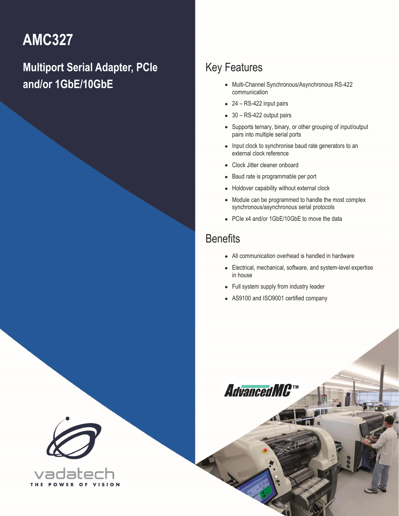# **AMC327**

# **Multiport Serial Adapter, PCIe and/or 1GbE/10GbE**

### Key Features

- Multi-Channel Synchronous/Asynchronous RS-422 communication
- 24 RS-422 input pairs
- 30 RS-422 output pairs
- Supports ternary, binary, or other grouping of input/output pairs into multiple serial ports
- Input clock to synchronise baud rate generators to an external clock reference
- Clock Jitter cleaner onboard
- Baud rate is programmable per port
- Holdover capability without external clock
- Module can be programmed to handle the most complex synchronous/asynchronous serial protocols
- PCIe x4 and/or 1GbE/10GbE to move the data

### **Benefits**

- All communication overhead is handled in hardware
- Electrical, mechanical, software, and system-level expertise in house
- Full system supply from industry leader
- AS9100 and ISO9001 certified company



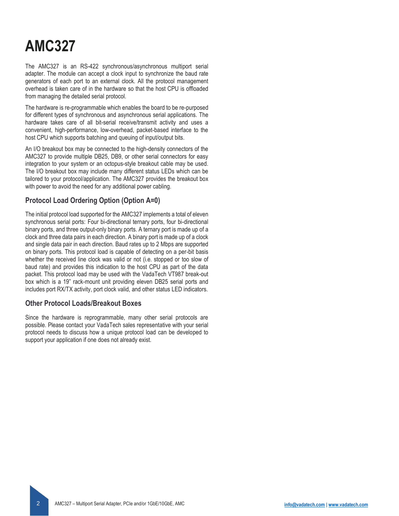# **AMC327**

The AMC327 is an RS-422 synchronous/asynchronous multiport serial adapter. The module can accept a clock input to synchronize the baud rate generators of each port to an external clock. All the protocol management overhead is taken care of in the hardware so that the host CPU is offloaded from managing the detailed serial protocol.

The hardware is re-programmable which enables the board to be re-purposed for different types of synchronous and asynchronous serial applications. The hardware takes care of all bit-serial receive/transmit activity and uses a convenient, high-performance, low-overhead, packet-based interface to the host CPU which supports batching and queuing of input/output bits.

An I/O breakout box may be connected to the high-density connectors of the AMC327 to provide multiple DB25, DB9, or other serial connectors for easy integration to your system or an octopus-style breakout cable may be used. The I/O breakout box may include many different status LEDs which can be tailored to your protocol/application. The AMC327 provides the breakout box with power to avoid the need for any additional power cabling.

### **Protocol Load Ordering Option (Option A=0)**

The initial protocol load supported for the AMC327 implements a total of eleven synchronous serial ports: Four bi-directional ternary ports, four bi-directional binary ports, and three output-only binary ports. A ternary port is made up of a clock and three data pairs in each direction. A binary port is made up of a clock and single data pair in each direction. Baud rates up to 2 Mbps are supported on binary ports. This protocol load is capable of detecting on a per-bit basis whether the received line clock was valid or not (i.e. stopped or too slow of baud rate) and provides this indication to the host CPU as part of the data packet. This protocol load may be used with the VadaTech VT987 break-out box which is a 19" rack-mount unit providing eleven DB25 serial ports and includes port RX/TX activity, port clock valid, and other status LED indicators.

### **Other Protocol Loads/Breakout Boxes**

Since the hardware is reprogrammable, many other serial protocols are possible. Please contact your VadaTech sales representative with your serial protocol needs to discuss how a unique protocol load can be developed to support your application if one does not already exist.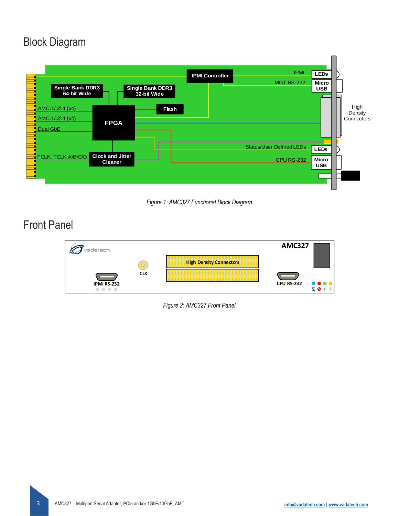### Block Diagram



*Figure 1: AMC327 Functional Block Diagram*

### Front Panel



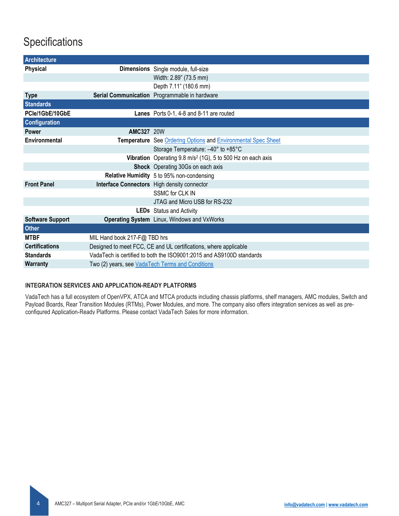### **Specifications**

| Architecture            |                                                                      |                                                                         |  |
|-------------------------|----------------------------------------------------------------------|-------------------------------------------------------------------------|--|
| <b>Physical</b>         |                                                                      | Dimensions Single module, full-size                                     |  |
|                         |                                                                      | Width: 2.89" (73.5 mm)                                                  |  |
|                         |                                                                      | Depth 7.11" (180.6 mm)                                                  |  |
| <b>Type</b>             |                                                                      | Serial Communication Programmable in hardware                           |  |
| <b>Standards</b>        |                                                                      |                                                                         |  |
| PCle/1GbE/10GbE         |                                                                      | Lanes Ports 0-1, 4-8 and 8-11 are routed                                |  |
| <b>Configuration</b>    |                                                                      |                                                                         |  |
| <b>Power</b>            | <b>AMC327 20W</b>                                                    |                                                                         |  |
| Environmental           |                                                                      | Temperature See Ordering Options and Environmental Spec Sheet           |  |
|                         |                                                                      | Storage Temperature: -40° to +85°C                                      |  |
|                         |                                                                      | Vibration Operating 9.8 m/s <sup>2</sup> (1G), 5 to 500 Hz on each axis |  |
|                         |                                                                      | Shock Operating 30Gs on each axis                                       |  |
|                         |                                                                      | Relative Humidity 5 to 95% non-condensing                               |  |
| <b>Front Panel</b>      |                                                                      | Interface Connectors High density connector                             |  |
|                         |                                                                      | <b>SSMC for CLK IN</b>                                                  |  |
|                         |                                                                      | JTAG and Micro USB for RS-232                                           |  |
|                         |                                                                      | LEDs Status and Activity                                                |  |
| <b>Software Support</b> |                                                                      | Operating System Linux, Windows and VxWorks                             |  |
| <b>Other</b>            |                                                                      |                                                                         |  |
| <b>MTBF</b>             | MIL Hand book 217-F@ TBD hrs                                         |                                                                         |  |
| <b>Certifications</b>   | Designed to meet FCC, CE and UL certifications, where applicable     |                                                                         |  |
| <b>Standards</b>        | VadaTech is certified to both the ISO9001:2015 and AS9100D standards |                                                                         |  |
| Warranty                | Two (2) years, see VadaTech Terms and Conditions                     |                                                                         |  |

#### **INTEGRATION SERVICES AND APPLICATION-READY PLATFORMS**

VadaTech has a full ecosystem of OpenVPX, ATCA and MTCA products including chassis platforms, shelf managers, AMC modules, Switch and Payload Boards, Rear Transition Modules (RTMs), Power Modules, and more. The company also offers integration services as well as preconfigured Application-Ready Platforms. Please contact VadaTech Sales for more information.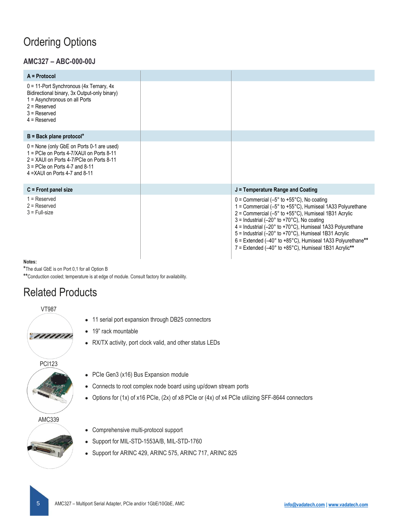## <span id="page-4-0"></span>Ordering Options

### **AMC327 – ABC-000-00J**

| $A = Protocol$                                                                                                                                                                                                 |                                                                                                                                                                                                                                                                                                                                                                                                                                                                                                                                                  |
|----------------------------------------------------------------------------------------------------------------------------------------------------------------------------------------------------------------|--------------------------------------------------------------------------------------------------------------------------------------------------------------------------------------------------------------------------------------------------------------------------------------------------------------------------------------------------------------------------------------------------------------------------------------------------------------------------------------------------------------------------------------------------|
| $0 = 11$ -Port Synchronous (4x Ternary, 4x<br>Bidirectional binary, 3x Output-only binary)<br>1 = Asynchronous on all Ports<br>$2 =$ Reserved<br>$3 =$ Reserved<br>$4 =$ Reserved                              |                                                                                                                                                                                                                                                                                                                                                                                                                                                                                                                                                  |
| $B = Back plane protocol*$                                                                                                                                                                                     |                                                                                                                                                                                                                                                                                                                                                                                                                                                                                                                                                  |
| $0 =$ None (only GbE on Ports 0-1 are used)<br>1 = PCIe on Ports 4-7/XAUI on Ports 8-11<br>$2 = XAll$ on Ports 4-7/PCIe on Ports 8-11<br>$3 = PC$ le on Ports 4-7 and 8-11<br>$4 = XAll$ on Ports 4-7 and 8-11 |                                                                                                                                                                                                                                                                                                                                                                                                                                                                                                                                                  |
| $C =$ Front panel size                                                                                                                                                                                         | J = Temperature Range and Coating                                                                                                                                                                                                                                                                                                                                                                                                                                                                                                                |
| $1 =$ Reserved<br>$2 =$ Reserved<br>$3$ = Full-size                                                                                                                                                            | $0 =$ Commercial (-5 $\degree$ to +55 $\degree$ C), No coating<br>1 = Commercial (-5° to +55°C), Humiseal 1A33 Polyurethane<br>$2 =$ Commercial (-5 $\degree$ to +55 $\degree$ C), Humiseal 1B31 Acrylic<br>$3 =$ Industrial (-20 $\degree$ to +70 $\degree$ C), No coating<br>4 = Industrial (-20° to +70°C), Humiseal 1A33 Polyurethane<br>5 = Industrial (-20° to +70°C), Humiseal 1B31 Acrylic<br>$6$ = Extended (-40 $^{\circ}$ to +85 $^{\circ}$ C), Humiseal 1A33 Polyurethane**<br>7 = Extended (-40° to +85°C), Humiseal 1B31 Acrylic** |

**Notes:**

**\***The dual GbE is on Port 0,1 for all Option B

**\*\***Conduction cooled; temperature is at edge of module. Consult factory for availability.

## Related Products



- 11 serial port expansion through DB25 connectors
- 19" rack mountable
- RX/TX activity, port clock valid, and other status LEDs

PCI123



- PCIe Gen3 (x16) Bus Expansion module
- Connects to root complex node board using up/down stream ports
- Options for (1x) of x16 PCIe, (2x) of x8 PCIe or (4x) of x4 PCIe utilizing SFF-8644 connectors

#### AMC339



- Comprehensive multi-protocol support
- Support for MIL-STD-1553A/B, MIL-STD-1760
- Support for ARINC 429, ARINC 575, ARINC 717, ARINC 825